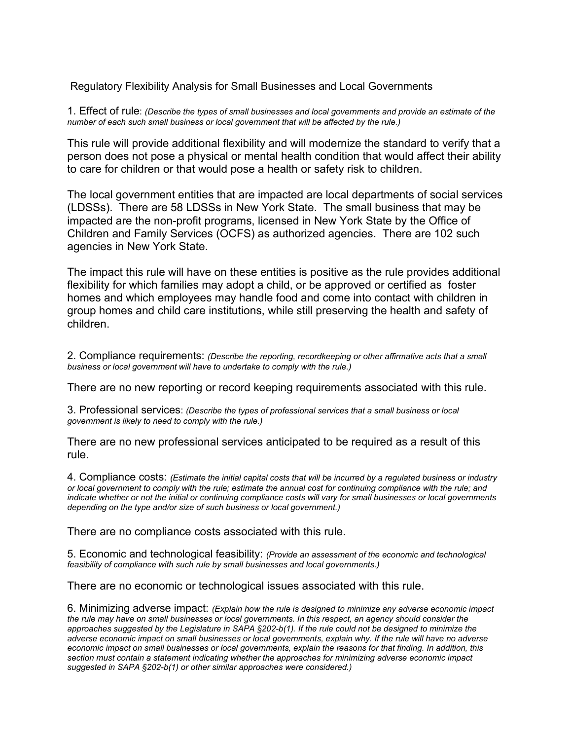Regulatory Flexibility Analysis for Small Businesses and Local Governments

1. Effect of rule: *(Describe the types of small businesses and local governments and provide an estimate of the number of each such small business or local government that will be affected by the rule.)* 

This rule will provide additional flexibility and will modernize the standard to verify that a person does not pose a physical or mental health condition that would affect their ability to care for children or that would pose a health or safety risk to children.

The local government entities that are impacted are local departments of social services (LDSSs). There are 58 LDSSs in New York State. The small business that may be impacted are the non-profit programs, licensed in New York State by the Office of Children and Family Services (OCFS) as authorized agencies. There are 102 such agencies in New York State.

The impact this rule will have on these entities is positive as the rule provides additional flexibility for which families may adopt a child, or be approved or certified as foster homes and which employees may handle food and come into contact with children in group homes and child care institutions, while still preserving the health and safety of children.

2. Compliance requirements: *(Describe the reporting, recordkeeping or other affirmative acts that a small business or local government will have to undertake to comply with the rule.)* 

There are no new reporting or record keeping requirements associated with this rule.

3. Professional services: *(Describe the types of professional services that a small business or local government is likely to need to comply with the rule.)* 

There are no new professional services anticipated to be required as a result of this rule.

4. Compliance costs: *(Estimate the initial capital costs that will be incurred by a regulated business or industry or local government to comply with the rule; estimate the annual cost for continuing compliance with the rule; and indicate whether or not the initial or continuing compliance costs will vary for small businesses or local governments depending on the type and/or size of such business or local government.)* 

There are no compliance costs associated with this rule.

5. Economic and technological feasibility: *(Provide an assessment of the economic and technological feasibility of compliance with such rule by small businesses and local governments.)* 

There are no economic or technological issues associated with this rule.

6. Minimizing adverse impact: *(Explain how the rule is designed to minimize any adverse economic impact the rule may have on small businesses or local governments. In this respect, an agency should consider the approaches suggested by the Legislature in SAPA §202-b(1). If the rule could not be designed to minimize the adverse economic impact on small businesses or local governments, explain why. If the rule will have no adverse economic impact on small businesses or local governments, explain the reasons for that finding. In addition, this section must contain a statement indicating whether the approaches for minimizing adverse economic impact suggested in SAPA §202-b(1) or other similar approaches were considered.)*